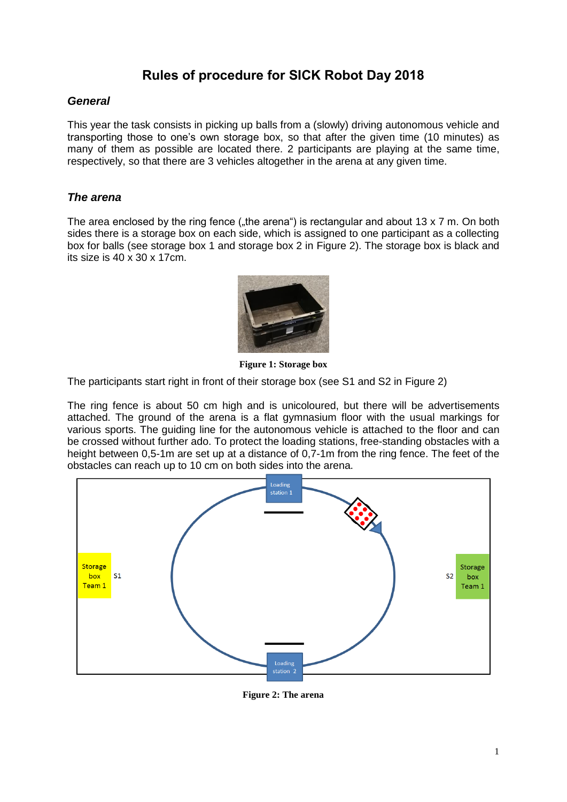# **Rules of procedure for SICK Robot Day 2018**

## *General*

This year the task consists in picking up balls from a (slowly) driving autonomous vehicle and transporting those to one's own storage box, so that after the given time (10 minutes) as many of them as possible are located there. 2 participants are playing at the same time, respectively, so that there are 3 vehicles altogether in the arena at any given time.

### *The arena*

The area enclosed by the ring fence ("the arena") is rectangular and about 13 x 7 m. On both sides there is a storage box on each side, which is assigned to one participant as a collecting box for balls (see storage box 1 and storage box 2 in [Figure 2\)](#page-0-0). The storage box is black and its size is 40 x 30 x 17cm.



**Figure 1: Storage box**

The participants start right in front of their storage box (see S1 and S2 in [Figure 2\)](#page-0-0)

The ring fence is about 50 cm high and is unicoloured, but there will be advertisements attached. The ground of the arena is a flat gymnasium floor with the usual markings for various sports. The guiding line for the autonomous vehicle is attached to the floor and can be crossed without further ado. To protect the loading stations, free-standing obstacles with a height between 0.5-1m are set up at a distance of 0.7-1m from the ring fence. The feet of the obstacles can reach up to 10 cm on both sides into the arena.



<span id="page-0-0"></span>**Figure 2: The arena**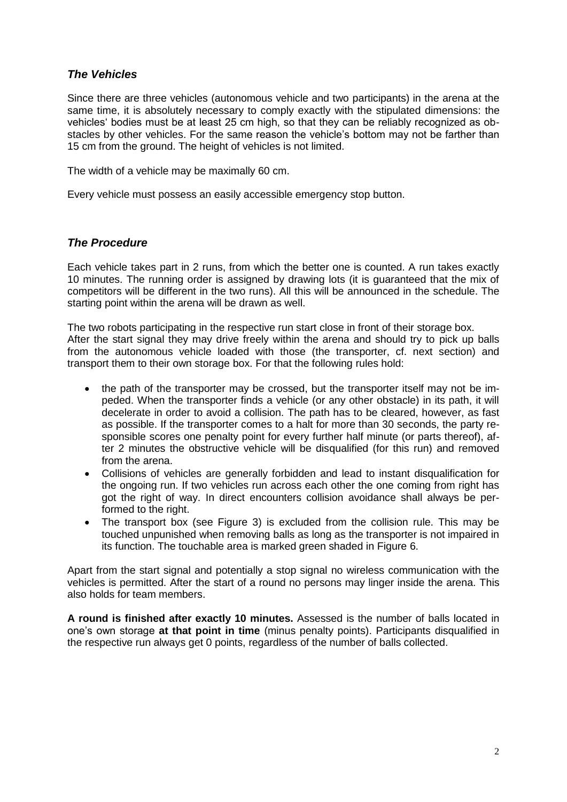# *The Vehicles*

Since there are three vehicles (autonomous vehicle and two participants) in the arena at the same time, it is absolutely necessary to comply exactly with the stipulated dimensions: the vehicles' bodies must be at least 25 cm high, so that they can be reliably recognized as obstacles by other vehicles. For the same reason the vehicle's bottom may not be farther than 15 cm from the ground. The height of vehicles is not limited.

The width of a vehicle may be maximally 60 cm.

Every vehicle must possess an easily accessible emergency stop button.

## *The Procedure*

Each vehicle takes part in 2 runs, from which the better one is counted. A run takes exactly 10 minutes. The running order is assigned by drawing lots (it is guaranteed that the mix of competitors will be different in the two runs). All this will be announced in the schedule. The starting point within the arena will be drawn as well.

The two robots participating in the respective run start close in front of their storage box. After the start signal they may drive freely within the arena and should try to pick up balls from the autonomous vehicle loaded with those (the transporter, cf. next section) and transport them to their own storage box. For that the following rules hold:

- the path of the transporter may be crossed, but the transporter itself may not be impeded. When the transporter finds a vehicle (or any other obstacle) in its path, it will decelerate in order to avoid a collision. The path has to be cleared, however, as fast as possible. If the transporter comes to a halt for more than 30 seconds, the party responsible scores one penalty point for every further half minute (or parts thereof), after 2 minutes the obstructive vehicle will be disqualified (for this run) and removed from the arena.
- Collisions of vehicles are generally forbidden and lead to instant disqualification for the ongoing run. If two vehicles run across each other the one coming from right has got the right of way. In direct encounters collision avoidance shall always be performed to the right.
- The transport box (see [Figure 3\)](#page-2-0) is excluded from the collision rule. This may be touched unpunished when removing balls as long as the transporter is not impaired in its function. The touchable area is marked green shaded in [Figure 6.](#page-2-1)

Apart from the start signal and potentially a stop signal no wireless communication with the vehicles is permitted. After the start of a round no persons may linger inside the arena. This also holds for team members.

**A round is finished after exactly 10 minutes.** Assessed is the number of balls located in one's own storage **at that point in time** (minus penalty points). Participants disqualified in the respective run always get 0 points, regardless of the number of balls collected.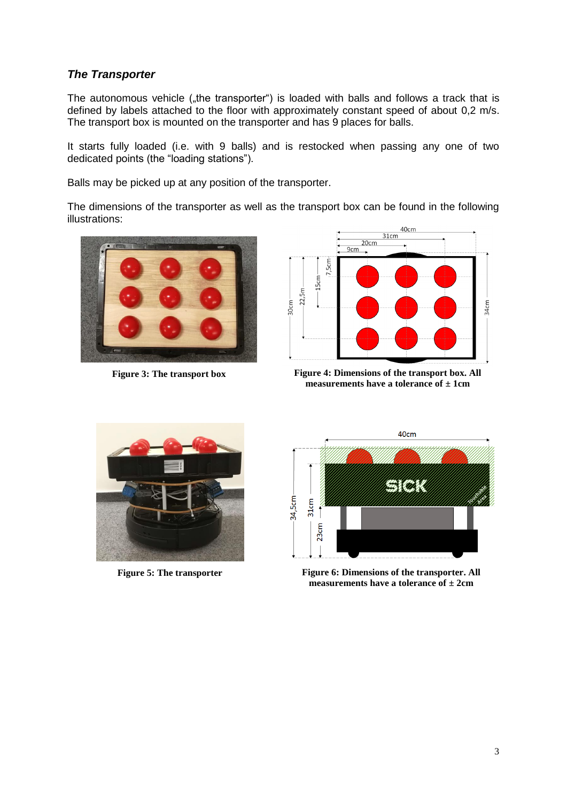# *The Transporter*

The autonomous vehicle ("the transporter") is loaded with balls and follows a track that is defined by labels attached to the floor with approximately constant speed of about 0,2 m/s. The transport box is mounted on the transporter and has 9 places for balls.

It starts fully loaded (i.e. with 9 balls) and is restocked when passing any one of two dedicated points (the "loading stations").

Balls may be picked up at any position of the transporter.

The dimensions of the transporter as well as the transport box can be found in the following illustrations:





<span id="page-2-0"></span>**Figure 3: The transport box Figure 4: Dimensions of the transport box. All measurements have a tolerance of ± 1cm**



<span id="page-2-1"></span>

**Figure 5: The transporter Figure 6: Dimensions of the transporter. All measurements have a tolerance of ± 2cm**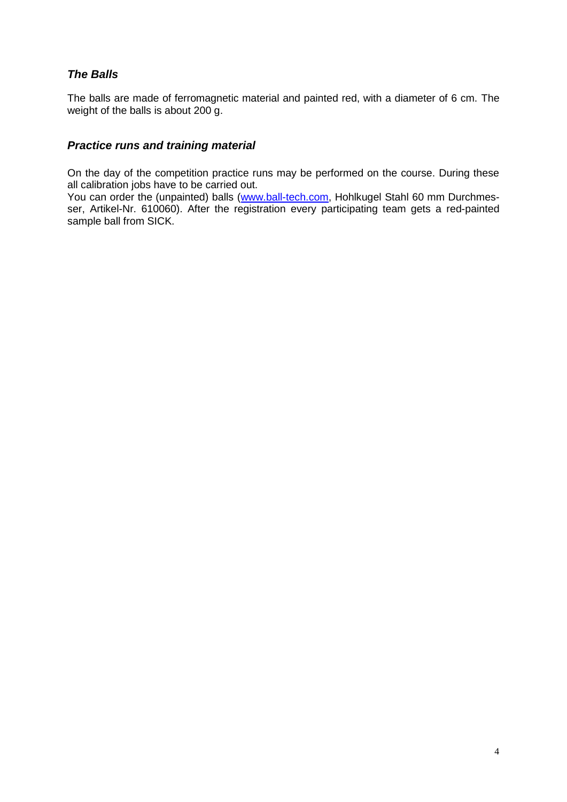# *The Balls*

The balls are made of ferromagnetic material and painted red, with a diameter of 6 cm. The weight of the balls is about 200 g.

# *Practice runs and training material*

On the day of the competition practice runs may be performed on the course. During these all calibration jobs have to be carried out.

You can order the (unpainted) balls [\(www.ball-tech.com,](http://www.ball-tech.com/) Hohlkugel Stahl 60 mm Durchmesser, Artikel-Nr. 610060). After the registration every participating team gets a red-painted sample ball from SICK.